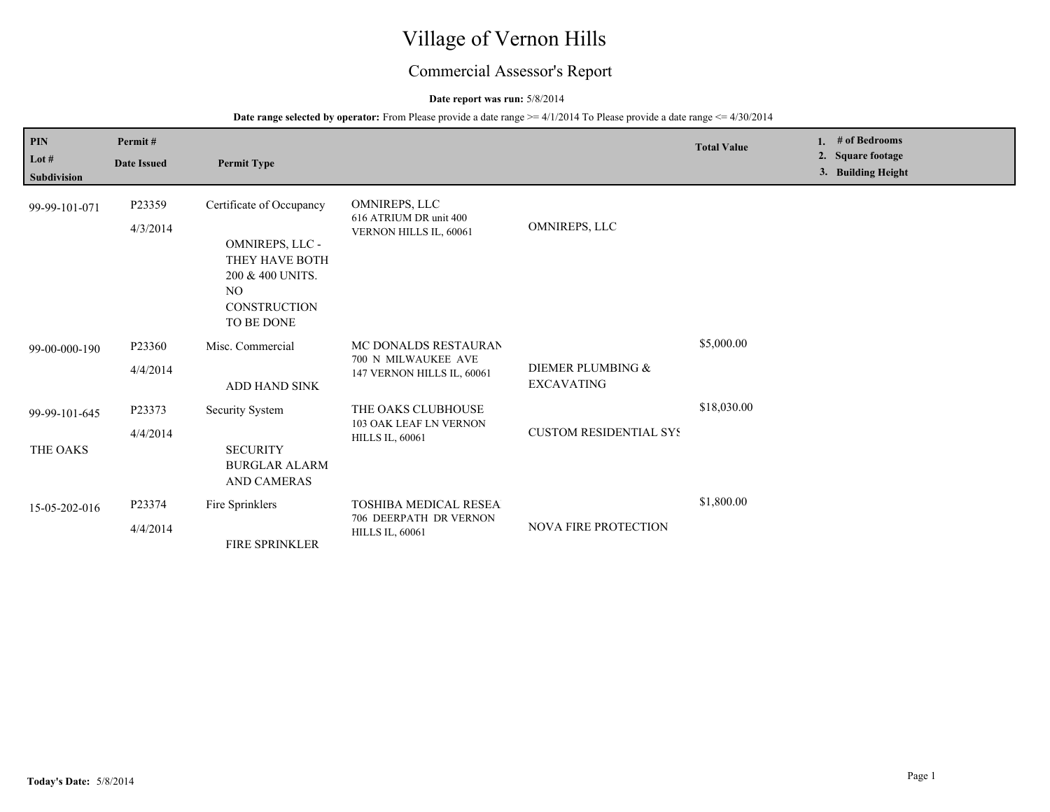# Village of Vernon Hills

## Commercial Assessor's Report

#### **Date report was run:** 5/8/2014

**Date range selected by operator:** From Please provide a date range  $\geq$  = 4/1/2014 To Please provide a date range  $\leq$  4/30/2014

| <b>PIN</b><br>Lot $#$<br><b>Subdivision</b> | Permit#<br><b>Date Issued</b> | <b>Permit Type</b>                                                                                                            |                                                                                  |                                        | <b>Total Value</b> | 1. $#$ of Bedrooms<br>2. Square footage<br>3. Building Height |
|---------------------------------------------|-------------------------------|-------------------------------------------------------------------------------------------------------------------------------|----------------------------------------------------------------------------------|----------------------------------------|--------------------|---------------------------------------------------------------|
| 99-99-101-071                               | P23359<br>4/3/2014            | Certificate of Occupancy<br>OMNIREPS, LLC -<br>THEY HAVE BOTH<br>200 & 400 UNITS.<br>NO.<br><b>CONSTRUCTION</b><br>TO BE DONE | <b>OMNIREPS, LLC</b><br>616 ATRIUM DR unit 400<br>VERNON HILLS IL, 60061         | OMNIREPS, LLC                          |                    |                                                               |
| 99-00-000-190                               | P23360<br>4/4/2014            | Misc. Commercial<br>ADD HAND SINK                                                                                             | MC DONALDS RESTAURAN<br>700 N MILWAUKEE AVE<br>147 VERNON HILLS IL, 60061        | DIEMER PLUMBING &<br><b>EXCAVATING</b> | \$5,000.00         |                                                               |
| 99-99-101-645<br>THE OAKS                   | P23373<br>4/4/2014            | Security System<br><b>SECURITY</b><br><b>BURGLAR ALARM</b><br><b>AND CAMERAS</b>                                              | THE OAKS CLUBHOUSE<br>103 OAK LEAF LN VERNON<br><b>HILLS IL, 60061</b>           | <b>CUSTOM RESIDENTIAL SYS</b>          | \$18,030.00        |                                                               |
| 15-05-202-016                               | P23374<br>4/4/2014            | Fire Sprinklers<br><b>FIRE SPRINKLER</b>                                                                                      | <b>TOSHIBA MEDICAL RESEA</b><br>706 DEERPATH DR VERNON<br><b>HILLS IL, 60061</b> | <b>NOVA FIRE PROTECTION</b>            | \$1,800.00         |                                                               |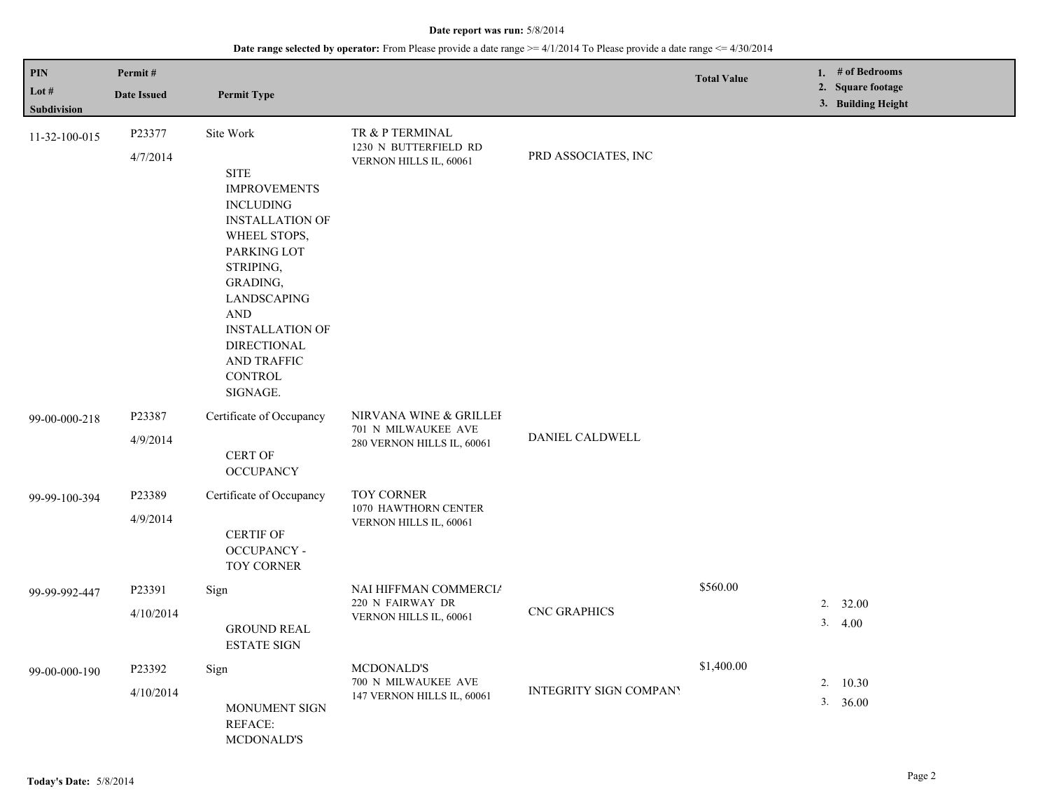#### **Date range selected by operator:** From Please provide a date range  $\geq$ =4/1/2014 To Please provide a date range  $\leq$ =4/30/2014

| <b>PIN</b><br>Lot $#$<br>Subdivision | Permit#<br><b>Date Issued</b> | <b>Permit Type</b>                                                                                                                                                                                                                                                              |                                                                             |                               | <b>Total Value</b> |    | 1. # of Bedrooms<br>2. Square footage<br>3. Building Height |
|--------------------------------------|-------------------------------|---------------------------------------------------------------------------------------------------------------------------------------------------------------------------------------------------------------------------------------------------------------------------------|-----------------------------------------------------------------------------|-------------------------------|--------------------|----|-------------------------------------------------------------|
| 11-32-100-015                        | P23377<br>4/7/2014            | Site Work<br><b>SITE</b><br><b>IMPROVEMENTS</b><br><b>INCLUDING</b><br><b>INSTALLATION OF</b><br>WHEEL STOPS,<br>PARKING LOT<br>STRIPING,<br>GRADING,<br>LANDSCAPING<br><b>AND</b><br><b>INSTALLATION OF</b><br><b>DIRECTIONAL</b><br>AND TRAFFIC<br><b>CONTROL</b><br>SIGNAGE. | TR & P TERMINAL<br>1230 N BUTTERFIELD RD<br>VERNON HILLS IL, 60061          | PRD ASSOCIATES, INC           |                    |    |                                                             |
| 99-00-000-218                        | P23387<br>4/9/2014            | Certificate of Occupancy<br>CERT OF<br><b>OCCUPANCY</b>                                                                                                                                                                                                                         | NIRVANA WINE & GRILLEI<br>701 N MILWAUKEE AVE<br>280 VERNON HILLS IL, 60061 | DANIEL CALDWELL               |                    |    |                                                             |
| 99-99-100-394                        | P23389<br>4/9/2014            | Certificate of Occupancy<br><b>CERTIF OF</b><br><b>OCCUPANCY -</b><br><b>TOY CORNER</b>                                                                                                                                                                                         | <b>TOY CORNER</b><br>1070 HAWTHORN CENTER<br>VERNON HILLS IL, 60061         |                               |                    |    |                                                             |
| 99-99-992-447                        | P23391<br>4/10/2014           | Sign<br><b>GROUND REAL</b><br><b>ESTATE SIGN</b>                                                                                                                                                                                                                                | NAI HIFFMAN COMMERCIA<br>220 N FAIRWAY DR<br>VERNON HILLS IL, 60061         | <b>CNC GRAPHICS</b>           | \$560.00           |    | 2.32.00<br>3.4.00                                           |
| 99-00-000-190                        | P23392<br>4/10/2014           | Sign<br><b>MONUMENT SIGN</b><br>REFACE:<br><b>MCDONALD'S</b>                                                                                                                                                                                                                    | <b>MCDONALD'S</b><br>700 N MILWAUKEE AVE<br>147 VERNON HILLS IL, 60061      | <b>INTEGRITY SIGN COMPANY</b> | \$1,400.00         | 2. | 10.30<br>$3. \quad 36.00$                                   |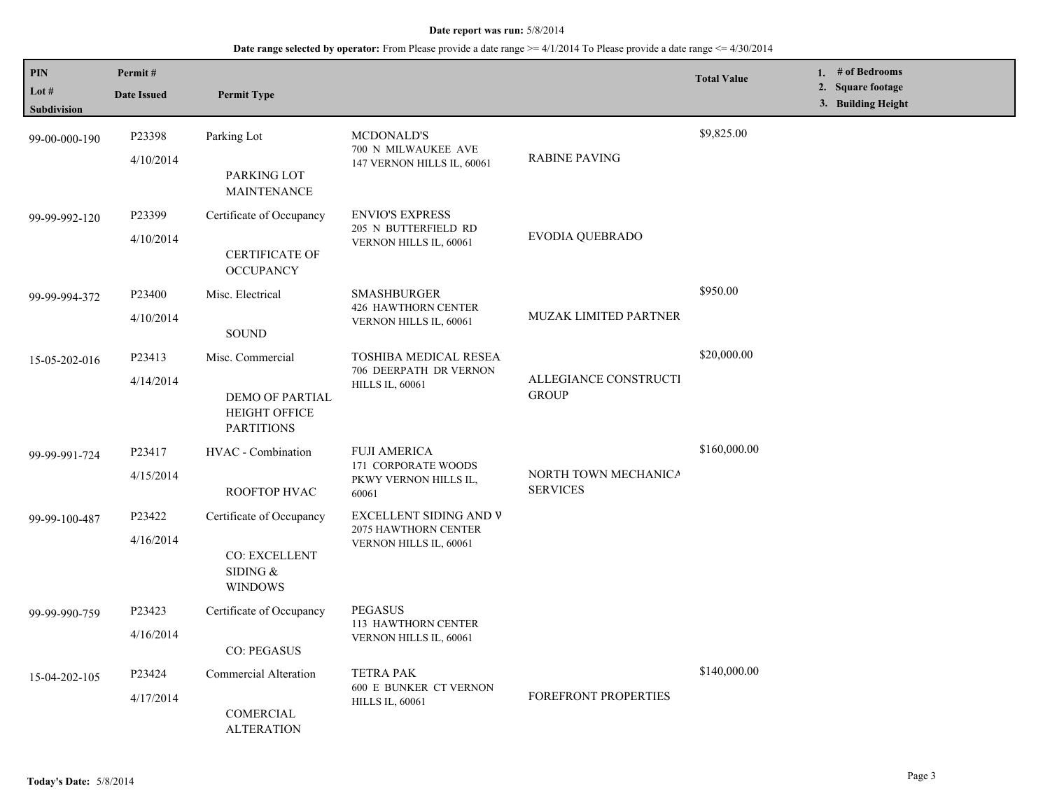## **Date range selected by operator:** From Please provide a date range >= 4/1/2014 To Please provide a date range <= 4/30/2014

| PIN<br>Lot #       | Permit#<br><b>Date Issued</b>               | <b>Permit Type</b>                                           |                                                                              |                                         | <b>Total Value</b> | 1. # of Bedrooms<br>2. Square footage |
|--------------------|---------------------------------------------|--------------------------------------------------------------|------------------------------------------------------------------------------|-----------------------------------------|--------------------|---------------------------------------|
| <b>Subdivision</b> |                                             |                                                              |                                                                              |                                         |                    | 3. Building Height                    |
| 99-00-000-190      | P23398                                      | Parking Lot                                                  | MCDONALD'S<br>700 N MILWAUKEE AVE                                            | <b>RABINE PAVING</b>                    | \$9,825.00         |                                       |
|                    | 4/10/2014                                   | PARKING LOT<br><b>MAINTENANCE</b>                            | 147 VERNON HILLS IL, 60061                                                   |                                         |                    |                                       |
| 99-99-992-120      | P23399                                      | Certificate of Occupancy                                     | <b>ENVIO'S EXPRESS</b><br>205 N BUTTERFIELD RD<br>VERNON HILLS IL, 60061     | <b>EVODIA QUEBRADO</b>                  |                    |                                       |
|                    | 4/10/2014                                   | <b>CERTIFICATE OF</b><br><b>OCCUPANCY</b>                    |                                                                              |                                         |                    |                                       |
| 99-99-994-372      | P23400                                      | Misc. Electrical                                             | <b>SMASHBURGER</b><br>426 HAWTHORN CENTER<br>VERNON HILLS IL, 60061          | MUZAK LIMITED PARTNER                   | \$950.00           |                                       |
|                    | 4/10/2014                                   | <b>SOUND</b>                                                 |                                                                              |                                         |                    |                                       |
| 15-05-202-016      | P23413                                      | Misc. Commercial                                             | <b>TOSHIBA MEDICAL RESEA</b><br>706 DEERPATH DR VERNON                       | ALLEGIANCE CONSTRUCTI<br><b>GROUP</b>   | \$20,000.00        |                                       |
|                    | 4/14/2014                                   | DEMO OF PARTIAL<br><b>HEIGHT OFFICE</b><br><b>PARTITIONS</b> | <b>HILLS IL, 60061</b>                                                       |                                         |                    |                                       |
| 99-99-991-724      | P23417                                      | HVAC - Combination                                           | <b>FUJI AMERICA</b><br>171 CORPORATE WOODS<br>PKWY VERNON HILLS IL,<br>60061 | NORTH TOWN MECHANICA<br><b>SERVICES</b> | \$160,000.00       |                                       |
|                    | 4/15/2014                                   | ROOFTOP HVAC                                                 |                                                                              |                                         |                    |                                       |
| 99-99-100-487      | P23422                                      | Certificate of Occupancy                                     | EXCELLENT SIDING AND V<br>2075 HAWTHORN CENTER<br>VERNON HILLS IL, 60061     |                                         |                    |                                       |
|                    | 4/16/2014                                   | <b>CO: EXCELLENT</b><br>SIDING $&$<br><b>WINDOWS</b>         |                                                                              |                                         |                    |                                       |
| 99-99-990-759      | P23423                                      | Certificate of Occupancy                                     | <b>PEGASUS</b><br>113 HAWTHORN CENTER                                        |                                         |                    |                                       |
|                    | 4/16/2014                                   | <b>CO: PEGASUS</b>                                           | VERNON HILLS IL, 60061                                                       |                                         |                    |                                       |
| 15-04-202-105      | P23424                                      | Commercial Alteration                                        | <b>TETRA PAK</b><br>600 E BUNKER CT VERNON                                   |                                         | \$140,000.00       |                                       |
|                    | 4/17/2014<br>COMERCIAL<br><b>ALTERATION</b> | <b>HILLS IL, 60061</b>                                       | FOREFRONT PROPERTIES                                                         |                                         |                    |                                       |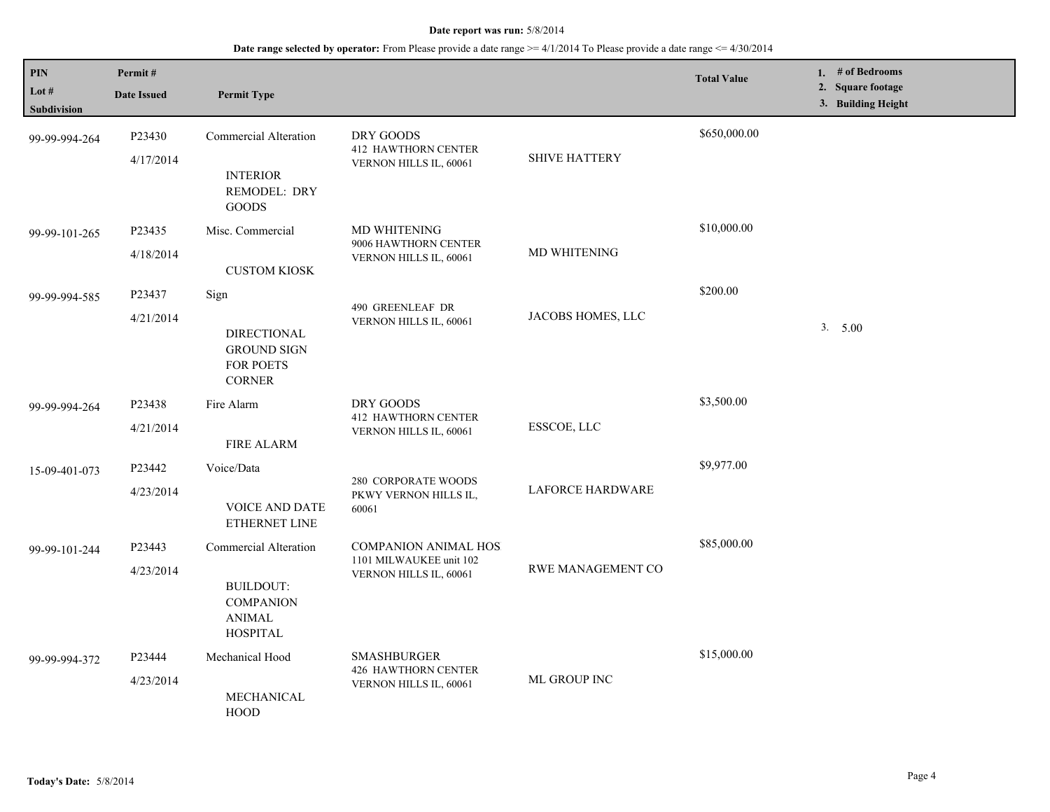## **Date range selected by operator:** From Please provide a date range >= 4/1/2014 To Please provide a date range <= 4/30/2014

| <b>PIN</b>           | Permit#                                                                        |                                                                               |                                                                                  |                             | <b>Total Value</b> | 1. $#$ of Bedrooms<br>2. Square footage |
|----------------------|--------------------------------------------------------------------------------|-------------------------------------------------------------------------------|----------------------------------------------------------------------------------|-----------------------------|--------------------|-----------------------------------------|
| Lot #<br>Subdivision | <b>Date Issued</b>                                                             | <b>Permit Type</b>                                                            |                                                                                  |                             |                    | 3. Building Height                      |
| 99-99-994-264        | P23430                                                                         | <b>Commercial Alteration</b>                                                  | DRY GOODS                                                                        |                             | \$650,000.00       |                                         |
|                      | 4/17/2014                                                                      | <b>INTERIOR</b><br>REMODEL: DRY<br><b>GOODS</b>                               | <b>412 HAWTHORN CENTER</b><br>VERNON HILLS IL, 60061                             | <b>SHIVE HATTERY</b>        |                    |                                         |
| 99-99-101-265        | P23435                                                                         | Misc. Commercial                                                              | <b>MD WHITENING</b><br>9006 HAWTHORN CENTER<br>VERNON HILLS IL, 60061            | <b>MD WHITENING</b>         | \$10,000.00        |                                         |
|                      | 4/18/2014                                                                      | <b>CUSTOM KIOSK</b>                                                           |                                                                                  |                             |                    |                                         |
| 99-99-994-585        | P23437                                                                         | Sign                                                                          |                                                                                  |                             | \$200.00           |                                         |
|                      | 4/21/2014                                                                      | <b>DIRECTIONAL</b><br><b>GROUND SIGN</b><br><b>FOR POETS</b><br><b>CORNER</b> | 490 GREENLEAF DR<br>VERNON HILLS IL, 60061                                       | JACOBS HOMES, LLC           |                    | 3. 5.00                                 |
| 99-99-994-264        | P23438                                                                         | Fire Alarm                                                                    | DRY GOODS<br><b>412 HAWTHORN CENTER</b><br>VERNON HILLS IL, 60061                | ESSCOE, LLC                 | \$3,500.00         |                                         |
|                      | 4/21/2014                                                                      | <b>FIRE ALARM</b>                                                             |                                                                                  |                             |                    |                                         |
| 15-09-401-073        | P23442                                                                         | Voice/Data                                                                    | <b>280 CORPORATE WOODS</b><br>PKWY VERNON HILLS IL,<br>60061                     | <b>LAFORCE HARDWARE</b>     | \$9,977.00         |                                         |
|                      | 4/23/2014                                                                      | <b>VOICE AND DATE</b><br>ETHERNET LINE                                        |                                                                                  |                             |                    |                                         |
| 99-99-101-244        | P23443                                                                         | Commercial Alteration                                                         | <b>COMPANION ANIMAL HOS</b><br>1101 MILWAUKEE unit 102<br>VERNON HILLS IL, 60061 | <b>RWE MANAGEMENT CO</b>    | \$85,000.00        |                                         |
|                      | 4/23/2014<br>BUILDOUT:<br><b>COMPANION</b><br><b>ANIMAL</b><br><b>HOSPITAL</b> |                                                                               |                                                                                  |                             |                    |                                         |
| 99-99-994-372        | P23444                                                                         | Mechanical Hood                                                               | <b>SMASHBURGER</b><br><b>426 HAWTHORN CENTER</b>                                 | \$15,000.00<br>ML GROUP INC |                    |                                         |
|                      | 4/23/2014                                                                      | MECHANICAL<br>HOOD                                                            | VERNON HILLS IL, 60061                                                           |                             |                    |                                         |